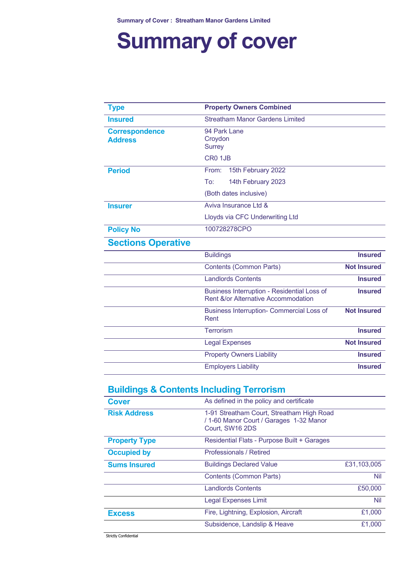# **Summary of cover**

| <b>Type</b>                                          | <b>Property Owners Combined</b>                                                           |                    |
|------------------------------------------------------|-------------------------------------------------------------------------------------------|--------------------|
| <b>Insured</b>                                       | <b>Streatham Manor Gardens Limited</b>                                                    |                    |
| <b>Correspondence</b><br><b>Address</b>              | 94 Park Lane<br>Croydon<br><b>Surrey</b><br>CR0 1JB                                       |                    |
| <b>Period</b>                                        | From:<br>15th February 2022                                                               |                    |
|                                                      | To:<br>14th February 2023                                                                 |                    |
|                                                      | (Both dates inclusive)                                                                    |                    |
| <b>Insurer</b>                                       | Aviva Insurance Ltd &                                                                     |                    |
|                                                      | Lloyds via CFC Underwriting Ltd                                                           |                    |
| <b>Policy No</b>                                     | 100728278CPO                                                                              |                    |
| <b>Sections Operative</b>                            |                                                                                           |                    |
|                                                      | <b>Buildings</b>                                                                          | <b>Insured</b>     |
|                                                      | <b>Contents (Common Parts)</b>                                                            | <b>Not Insured</b> |
|                                                      | <b>Landlords Contents</b>                                                                 | <b>Insured</b>     |
|                                                      | <b>Business Interruption - Residential Loss of</b><br>Rent &/or Alternative Accommodation | <b>Insured</b>     |
|                                                      | Business Interruption- Commercial Loss of<br>Rent                                         | <b>Not Insured</b> |
|                                                      | <b>Terrorism</b>                                                                          | <b>Insured</b>     |
|                                                      | <b>Legal Expenses</b>                                                                     | <b>Not Insured</b> |
|                                                      | <b>Property Owners Liability</b>                                                          | <b>Insured</b>     |
|                                                      | <b>Employers Liability</b>                                                                | <b>Insured</b>     |
| <u> Ruildings &amp; Contents Including Terrorism</u> |                                                                                           |                    |

#### **Buildings & Contents Including Terrorism**

| <b>Cover</b>         | As defined in the policy and certificate                                                                |             |
|----------------------|---------------------------------------------------------------------------------------------------------|-------------|
| <b>Risk Address</b>  | 1-91 Streatham Court, Streatham High Road<br>/ 1-60 Manor Court / Garages 1-32 Manor<br>Court, SW16 2DS |             |
| <b>Property Type</b> | Residential Flats - Purpose Built + Garages                                                             |             |
| <b>Occupied by</b>   | Professionals / Retired                                                                                 |             |
| <b>Sums Insured</b>  | <b>Buildings Declared Value</b>                                                                         | £31,103,005 |
|                      | <b>Contents (Common Parts)</b>                                                                          | Nil         |
|                      | <b>Landlords Contents</b>                                                                               | £50,000     |
|                      | <b>Legal Expenses Limit</b>                                                                             | Nil         |
| <b>Excess</b>        | Fire, Lightning, Explosion, Aircraft                                                                    | £1,000      |
|                      | Subsidence, Landslip & Heave                                                                            | £1,000      |

Strictly Confidential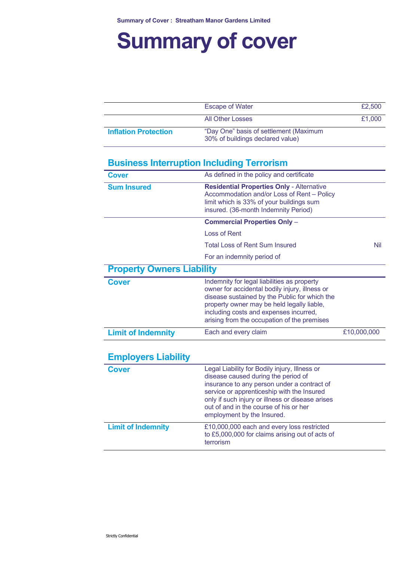# **Summary of cover**

|                             | <b>Escape of Water</b>                                                     | £2,500 |
|-----------------------------|----------------------------------------------------------------------------|--------|
|                             |                                                                            |        |
|                             | <b>All Other Losses</b>                                                    | £1,000 |
| <b>Inflation Protection</b> | "Day One" basis of settlement (Maximum<br>30% of buildings declared value) |        |

### **Business Interruption Including Terrorism**

| <b>Cover</b>                     | As defined in the policy and certificate                                                                                                                                                                                                                                                                      |             |
|----------------------------------|---------------------------------------------------------------------------------------------------------------------------------------------------------------------------------------------------------------------------------------------------------------------------------------------------------------|-------------|
| <b>Sum Insured</b>               | <b>Residential Properties Only - Alternative</b><br>Accommodation and/or Loss of Rent - Policy<br>limit which is 33% of your buildings sum<br>insured. (36-month Indemnity Period)                                                                                                                            |             |
|                                  | <b>Commercial Properties Only -</b>                                                                                                                                                                                                                                                                           |             |
|                                  | <b>Loss of Rent</b>                                                                                                                                                                                                                                                                                           |             |
|                                  | <b>Total Loss of Rent Sum Insured</b>                                                                                                                                                                                                                                                                         | <b>Nil</b>  |
|                                  | For an indemnity period of                                                                                                                                                                                                                                                                                    |             |
| <b>Property Owners Liability</b> |                                                                                                                                                                                                                                                                                                               |             |
| <b>Cover</b>                     | Indemnity for legal liabilities as property<br>owner for accidental bodily injury, illness or<br>disease sustained by the Public for which the<br>property owner may be held legally liable,<br>including costs and expenses incurred,<br>arising from the occupation of the premises                         |             |
| <b>Limit of Indemnity</b>        | Each and every claim                                                                                                                                                                                                                                                                                          | £10,000,000 |
| <b>Employers Liability</b>       |                                                                                                                                                                                                                                                                                                               |             |
| <b>Cover</b>                     | Legal Liability for Bodily injury, Illness or<br>disease caused during the period of<br>insurance to any person under a contract of<br>service or apprenticeship with the Insured<br>only if such injury or illness or disease arises<br>out of and in the course of his or her<br>employment by the Insured. |             |
| <b>Limit of Indemnity</b>        | £10,000,000 each and every loss restricted<br>to £5,000,000 for claims arising out of acts of<br>terrorism                                                                                                                                                                                                    |             |